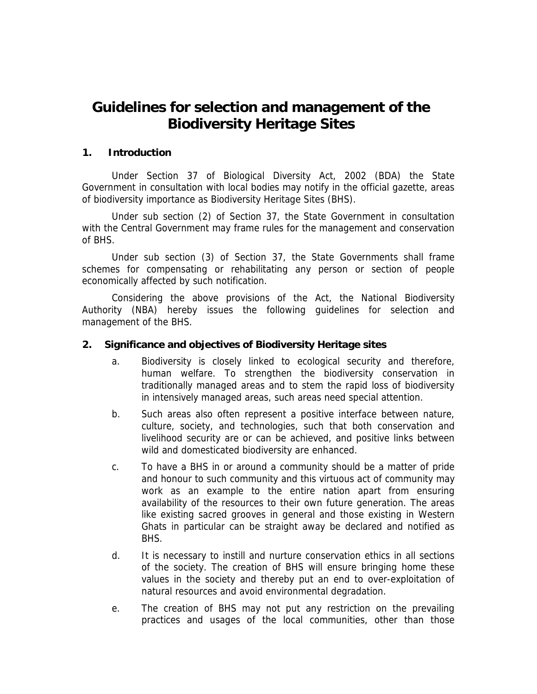# **Guidelines for selection and management of the Biodiversity Heritage Sites**

#### **1. Introduction**

Under Section 37 of Biological Diversity Act, 2002 (BDA) the State Government in consultation with local bodies may notify in the official gazette, areas of biodiversity importance as Biodiversity Heritage Sites (BHS).

Under sub section (2) of Section 37, the State Government in consultation with the Central Government may frame rules for the management and conservation of BHS.

Under sub section (3) of Section 37, the State Governments shall frame schemes for compensating or rehabilitating any person or section of people economically affected by such notification.

Considering the above provisions of the Act, the National Biodiversity Authority (NBA) hereby issues the following guidelines for selection and management of the BHS.

#### **2. Significance and objectives of Biodiversity Heritage sites**

- a. Biodiversity is closely linked to ecological security and therefore, human welfare. To strengthen the biodiversity conservation in traditionally managed areas and to stem the rapid loss of biodiversity in intensively managed areas, such areas need special attention.
- b. Such areas also often represent a positive interface between nature, culture, society, and technologies, such that both conservation and livelihood security are or can be achieved, and positive links between wild and domesticated biodiversity are enhanced.
- c. To have a BHS in or around a community should be a matter of pride and honour to such community and this virtuous act of community may work as an example to the entire nation apart from ensuring availability of the resources to their own future generation. The areas like existing sacred grooves in general and those existing in Western Ghats in particular can be straight away be declared and notified as BHS.
- d. It is necessary to instill and nurture conservation ethics in all sections of the society. The creation of BHS will ensure bringing home these values in the society and thereby put an end to over-exploitation of natural resources and avoid environmental degradation.
- e. The creation of BHS may not put any restriction on the prevailing practices and usages of the local communities, other than those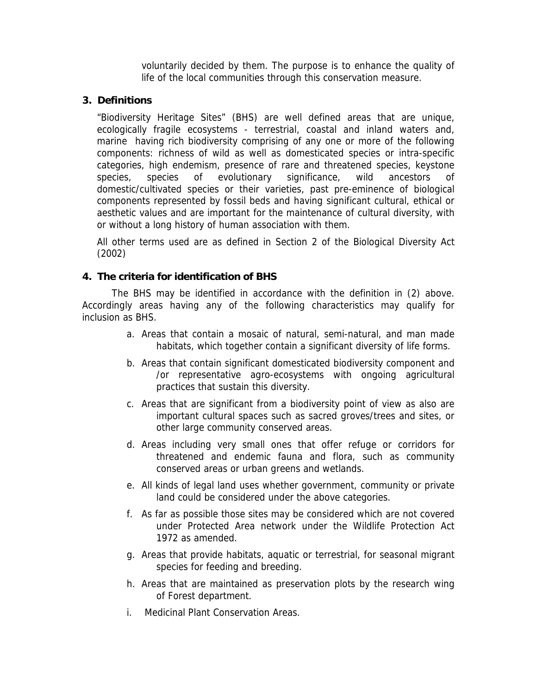voluntarily decided by them. The purpose is to enhance the quality of life of the local communities through this conservation measure.

## **3. Definitions**

"Biodiversity Heritage Sites" (BHS) are well defined areas that are unique, ecologically fragile ecosystems - terrestrial, coastal and inland waters and, marine having rich biodiversity comprising of any one or more of the following components: richness of wild as well as domesticated species or intra-specific categories, high endemism, presence of rare and threatened species, keystone species, species of evolutionary significance, wild ancestors of domestic/cultivated species or their varieties, past pre-eminence of biological components represented by fossil beds and having significant cultural, ethical or aesthetic values and are important for the maintenance of cultural diversity, with or without a long history of human association with them.

All other terms used are as defined in Section 2 of the Biological Diversity Act (2002)

### **4. The criteria for identification of BHS**

The BHS may be identified in accordance with the definition in (2) above. Accordingly areas having any of the following characteristics may qualify for inclusion as BHS.

- a. Areas that contain a mosaic of natural, semi-natural, and man made habitats, which together contain a significant diversity of life forms.
- b. Areas that contain significant domesticated biodiversity component and /or representative agro-ecosystems with ongoing agricultural practices that sustain this diversity.
- c. Areas that are significant from a biodiversity point of view as also are important cultural spaces such as sacred groves/trees and sites, or other large community conserved areas.
- d. Areas including very small ones that offer refuge or corridors for threatened and endemic fauna and flora, such as community conserved areas or urban greens and wetlands.
- e. All kinds of legal land uses whether government, community or private land could be considered under the above categories.
- f. As far as possible those sites may be considered which are not covered under Protected Area network under the Wildlife Protection Act 1972 as amended.
- g. Areas that provide habitats, aquatic or terrestrial, for seasonal migrant species for feeding and breeding.
- h. Areas that are maintained as preservation plots by the research wing of Forest department.
- i. Medicinal Plant Conservation Areas.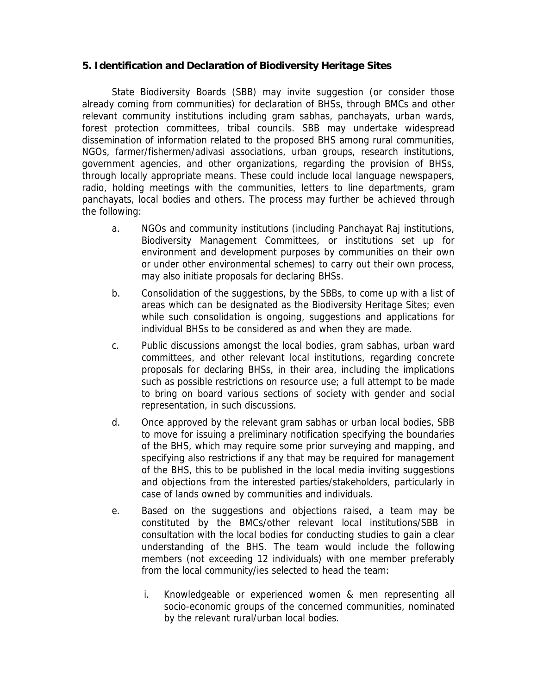#### **5. Identification and Declaration of Biodiversity Heritage Sites**

State Biodiversity Boards (SBB) may invite suggestion (or consider those already coming from communities) for declaration of BHSs, through BMCs and other relevant community institutions including gram sabhas, panchayats, urban wards, forest protection committees, tribal councils. SBB may undertake widespread dissemination of information related to the proposed BHS among rural communities, NGOs, farmer/fishermen/adivasi associations, urban groups, research institutions, government agencies, and other organizations, regarding the provision of BHSs, through locally appropriate means. These could include local language newspapers, radio, holding meetings with the communities, letters to line departments, gram panchayats, local bodies and others. The process may further be achieved through the following:

- a. NGOs and community institutions (including Panchayat Raj institutions, Biodiversity Management Committees, or institutions set up for environment and development purposes by communities on their own or under other environmental schemes) to carry out their own process, may also initiate proposals for declaring BHSs.
- b. Consolidation of the suggestions, by the SBBs, to come up with a list of areas which can be designated as the Biodiversity Heritage Sites; even while such consolidation is ongoing, suggestions and applications for individual BHSs to be considered as and when they are made.
- c. Public discussions amongst the local bodies, gram sabhas, urban ward committees, and other relevant local institutions, regarding concrete proposals for declaring BHSs, in their area, including the implications such as possible restrictions on resource use; a full attempt to be made to bring on board various sections of society with gender and social representation, in such discussions.
- d. Once approved by the relevant gram sabhas or urban local bodies, SBB to move for issuing a preliminary notification specifying the boundaries of the BHS, which may require some prior surveying and mapping, and specifying also restrictions if any that may be required for management of the BHS, this to be published in the local media inviting suggestions and objections from the interested parties/stakeholders, particularly in case of lands owned by communities and individuals.
- e. Based on the suggestions and objections raised, a team may be constituted by the BMCs/other relevant local institutions/SBB in consultation with the local bodies for conducting studies to gain a clear understanding of the BHS. The team would include the following members (not exceeding 12 individuals) with one member preferably from the local community/ies selected to head the team:
	- i. Knowledgeable or experienced women & men representing all socio-economic groups of the concerned communities, nominated by the relevant rural/urban local bodies.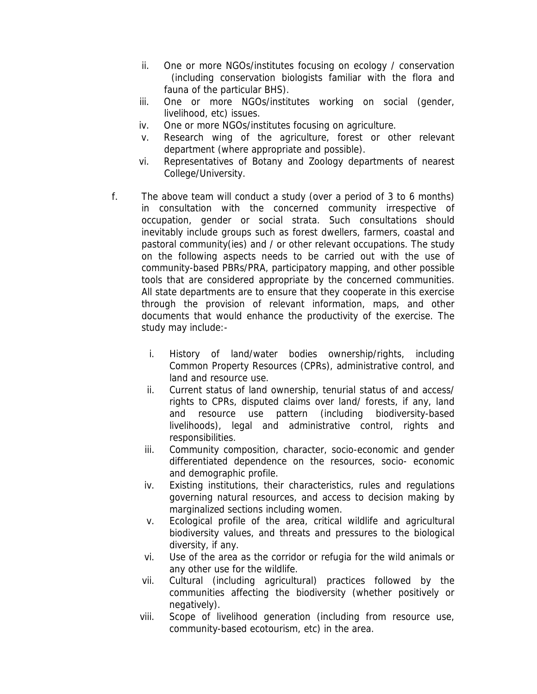- ii. One or more NGOs/institutes focusing on ecology / conservation (including conservation biologists familiar with the flora and fauna of the particular BHS).
- iii. One or more NGOs/institutes working on social (gender, livelihood, etc) issues.
- iv. One or more NGOs/institutes focusing on agriculture.
- v. Research wing of the agriculture, forest or other relevant department (where appropriate and possible).
- vi. Representatives of Botany and Zoology departments of nearest College/University.
- f. The above team will conduct a study (over a period of 3 to 6 months) in consultation with the concerned community irrespective of occupation, gender or social strata. Such consultations should inevitably include groups such as forest dwellers, farmers, coastal and pastoral community(ies) and / or other relevant occupations. The study on the following aspects needs to be carried out with the use of community-based PBRs/PRA, participatory mapping, and other possible tools that are considered appropriate by the concerned communities. All state departments are to ensure that they cooperate in this exercise through the provision of relevant information, maps, and other documents that would enhance the productivity of the exercise. The study may include:
	- i. History of land/water bodies ownership/rights, including Common Property Resources (CPRs), administrative control, and land and resource use.
	- ii. Current status of land ownership, tenurial status of and access/ rights to CPRs, disputed claims over land/ forests, if any, land and resource use pattern (including biodiversity-based livelihoods), legal and administrative control, rights and responsibilities.
	- iii. Community composition, character, socio-economic and gender differentiated dependence on the resources, socio- economic and demographic profile.
	- iv. Existing institutions, their characteristics, rules and regulations governing natural resources, and access to decision making by marginalized sections including women.
	- v. Ecological profile of the area, critical wildlife and agricultural biodiversity values, and threats and pressures to the biological diversity, if any.
	- vi. Use of the area as the corridor or refugia for the wild animals or any other use for the wildlife.
	- vii. Cultural (including agricultural) practices followed by the communities affecting the biodiversity (whether positively or negatively).
	- viii. Scope of livelihood generation (including from resource use, community-based ecotourism, etc) in the area.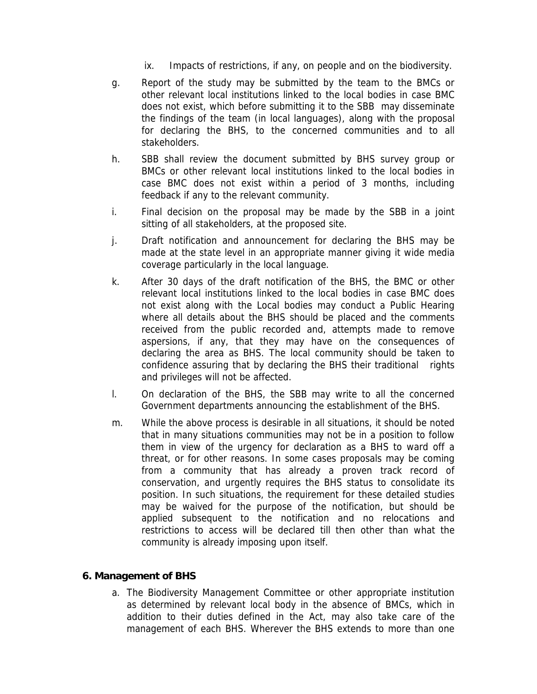- ix. Impacts of restrictions, if any, on people and on the biodiversity.
- g. Report of the study may be submitted by the team to the BMCs or other relevant local institutions linked to the local bodies in case BMC does not exist, which before submitting it to the SBB may disseminate the findings of the team (in local languages), along with the proposal for declaring the BHS, to the concerned communities and to all stakeholders.
- h. SBB shall review the document submitted by BHS survey group or BMCs or other relevant local institutions linked to the local bodies in case BMC does not exist within a period of 3 months, including feedback if any to the relevant community.
- i. Final decision on the proposal may be made by the SBB in a joint sitting of all stakeholders, at the proposed site.
- j. Draft notification and announcement for declaring the BHS may be made at the state level in an appropriate manner giving it wide media coverage particularly in the local language.
- k. After 30 days of the draft notification of the BHS, the BMC or other relevant local institutions linked to the local bodies in case BMC does not exist along with the Local bodies may conduct a Public Hearing where all details about the BHS should be placed and the comments received from the public recorded and, attempts made to remove aspersions, if any, that they may have on the consequences of declaring the area as BHS. The local community should be taken to confidence assuring that by declaring the BHS their traditional rights and privileges will not be affected.
- l. On declaration of the BHS, the SBB may write to all the concerned Government departments announcing the establishment of the BHS.
- m. While the above process is desirable in all situations, it should be noted that in many situations communities may not be in a position to follow them in view of the urgency for declaration as a BHS to ward off a threat, or for other reasons. In some cases proposals may be coming from a community that has already a proven track record of conservation, and urgently requires the BHS status to consolidate its position. In such situations, the requirement for these detailed studies may be waived for the purpose of the notification, but should be applied subsequent to the notification and no relocations and restrictions to access will be declared till then other than what the community is already imposing upon itself.

#### **6. Management of BHS**

a. The Biodiversity Management Committee or other appropriate institution as determined by relevant local body in the absence of BMCs, which in addition to their duties defined in the Act, may also take care of the management of each BHS. Wherever the BHS extends to more than one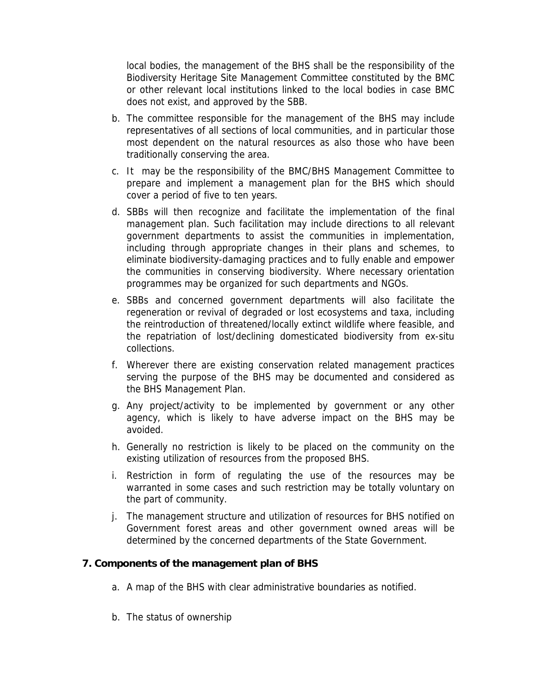local bodies, the management of the BHS shall be the responsibility of the Biodiversity Heritage Site Management Committee constituted by the BMC or other relevant local institutions linked to the local bodies in case BMC does not exist, and approved by the SBB.

- b. The committee responsible for the management of the BHS may include representatives of all sections of local communities, and in particular those most dependent on the natural resources as also those who have been traditionally conserving the area.
- c. It may be the responsibility of the BMC/BHS Management Committee to prepare and implement a management plan for the BHS which should cover a period of five to ten years.
- d. SBBs will then recognize and facilitate the implementation of the final management plan. Such facilitation may include directions to all relevant government departments to assist the communities in implementation, including through appropriate changes in their plans and schemes, to eliminate biodiversity-damaging practices and to fully enable and empower the communities in conserving biodiversity. Where necessary orientation programmes may be organized for such departments and NGOs.
- e. SBBs and concerned government departments will also facilitate the regeneration or revival of degraded or lost ecosystems and taxa, including the reintroduction of threatened/locally extinct wildlife where feasible, and the repatriation of lost/declining domesticated biodiversity from ex-situ collections.
- f. Wherever there are existing conservation related management practices serving the purpose of the BHS may be documented and considered as the BHS Management Plan.
- g. Any project/activity to be implemented by government or any other agency, which is likely to have adverse impact on the BHS may be avoided.
- h. Generally no restriction is likely to be placed on the community on the existing utilization of resources from the proposed BHS.
- i. Restriction in form of regulating the use of the resources may be warranted in some cases and such restriction may be totally voluntary on the part of community.
- j. The management structure and utilization of resources for BHS notified on Government forest areas and other government owned areas will be determined by the concerned departments of the State Government.

#### **7. Components of the management plan of BHS**

- a. A map of the BHS with clear administrative boundaries as notified.
- b. The status of ownership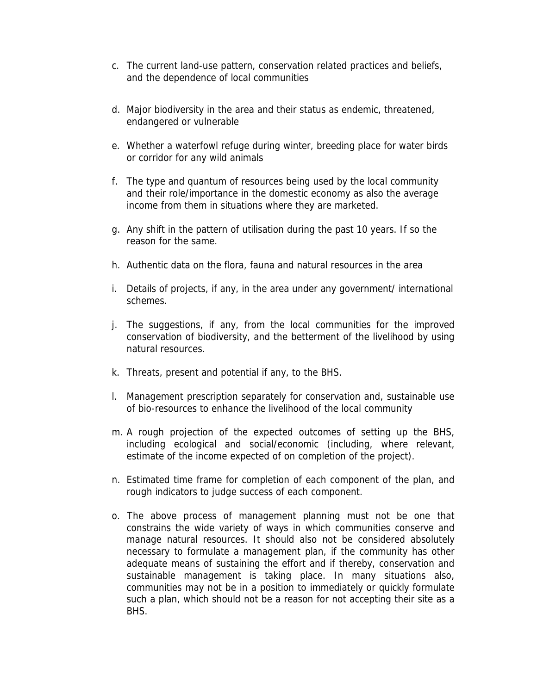- c. The current land-use pattern, conservation related practices and beliefs, and the dependence of local communities
- d. Major biodiversity in the area and their status as endemic, threatened, endangered or vulnerable
- e. Whether a waterfowl refuge during winter, breeding place for water birds or corridor for any wild animals
- f. The type and quantum of resources being used by the local community and their role/importance in the domestic economy as also the average income from them in situations where they are marketed.
- g. Any shift in the pattern of utilisation during the past 10 years. If so the reason for the same.
- h. Authentic data on the flora, fauna and natural resources in the area
- i. Details of projects, if any, in the area under any government/ international schemes.
- j. The suggestions, if any, from the local communities for the improved conservation of biodiversity, and the betterment of the livelihood by using natural resources.
- k. Threats, present and potential if any, to the BHS.
- l. Management prescription separately for conservation and, sustainable use of bio-resources to enhance the livelihood of the local community
- m. A rough projection of the expected outcomes of setting up the BHS, including ecological and social/economic (including, where relevant, estimate of the income expected of on completion of the project).
- n. Estimated time frame for completion of each component of the plan, and rough indicators to judge success of each component.
- o. The above process of management planning must not be one that constrains the wide variety of ways in which communities conserve and manage natural resources. It should also not be considered absolutely necessary to formulate a management plan, if the community has other adequate means of sustaining the effort and if thereby, conservation and sustainable management is taking place. In many situations also, communities may not be in a position to immediately or quickly formulate such a plan, which should not be a reason for not accepting their site as a BHS.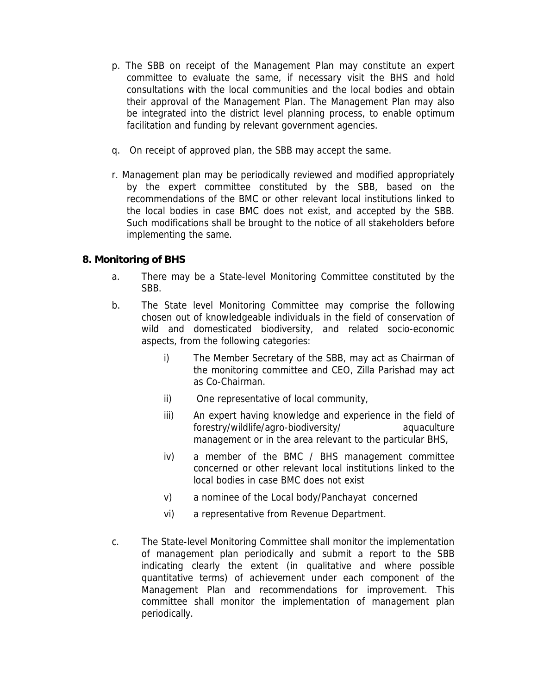- p. The SBB on receipt of the Management Plan may constitute an expert committee to evaluate the same, if necessary visit the BHS and hold consultations with the local communities and the local bodies and obtain their approval of the Management Plan. The Management Plan may also be integrated into the district level planning process, to enable optimum facilitation and funding by relevant government agencies.
- q. On receipt of approved plan, the SBB may accept the same.
- r. Management plan may be periodically reviewed and modified appropriately by the expert committee constituted by the SBB, based on the recommendations of the BMC or other relevant local institutions linked to the local bodies in case BMC does not exist, and accepted by the SBB. Such modifications shall be brought to the notice of all stakeholders before implementing the same.

# **8. Monitoring of BHS**

- a. There may be a State-level Monitoring Committee constituted by the SBB.
- b. The State level Monitoring Committee may comprise the following chosen out of knowledgeable individuals in the field of conservation of wild and domesticated biodiversity, and related socio-economic aspects, from the following categories:
	- i) The Member Secretary of the SBB, may act as Chairman of the monitoring committee and CEO, Zilla Parishad may act as Co-Chairman.
	- ii) One representative of local community,
	- iii) An expert having knowledge and experience in the field of forestry/wildlife/agro-biodiversity/ aquaculture management or in the area relevant to the particular BHS,
	- iv) a member of the BMC / BHS management committee concerned or other relevant local institutions linked to the local bodies in case BMC does not exist
	- v) a nominee of the Local body/Panchayat concerned
	- vi) a representative from Revenue Department.
- c. The State-level Monitoring Committee shall monitor the implementation of management plan periodically and submit a report to the SBB indicating clearly the extent (in qualitative and where possible quantitative terms) of achievement under each component of the Management Plan and recommendations for improvement. This committee shall monitor the implementation of management plan periodically.